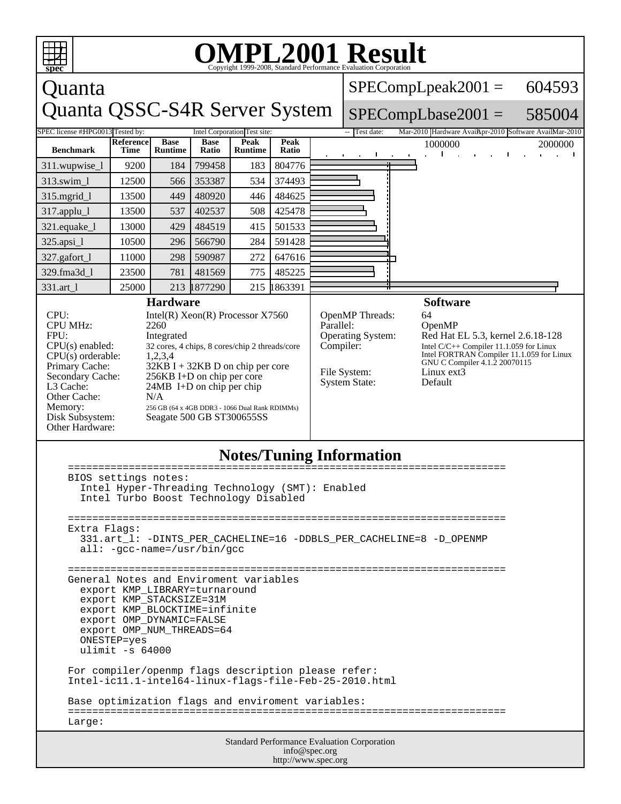

## **Notes/Tuning Information**

| BIOS settings notes:                                                |  |  |  |  |
|---------------------------------------------------------------------|--|--|--|--|
| Intel Hyper-Threading Technology (SMT): Enabled                     |  |  |  |  |
| Intel Turbo Boost Technology Disabled                               |  |  |  |  |
|                                                                     |  |  |  |  |
|                                                                     |  |  |  |  |
| Extra Flags:                                                        |  |  |  |  |
| 331.art 1: -DINTS PER CACHELINE=16 -DDBLS PER CACHELINE=8 -D OPENMP |  |  |  |  |
| $all: -qcc-name = /usr/bin/qcc$                                     |  |  |  |  |
|                                                                     |  |  |  |  |
|                                                                     |  |  |  |  |
| General Notes and Enviroment variables                              |  |  |  |  |
| export KMP LIBRARY=turnaround                                       |  |  |  |  |
| export KMP STACKSIZE=31M                                            |  |  |  |  |
| export KMP BLOCKTIME=infinite                                       |  |  |  |  |
| export OMP DYNAMIC=FALSE                                            |  |  |  |  |
| export OMP NUM THREADS=64                                           |  |  |  |  |
| ONESTEP=yes                                                         |  |  |  |  |
| ulimit $-s$ 64000                                                   |  |  |  |  |
|                                                                     |  |  |  |  |
| For compiler/openmp flags description please refer:                 |  |  |  |  |
| Intel-ic11.1-intel64-linux-flags-file-Feb-25-2010.html              |  |  |  |  |
|                                                                     |  |  |  |  |
| Base optimization flags and enviroment variables:                   |  |  |  |  |
|                                                                     |  |  |  |  |
| Large:                                                              |  |  |  |  |
| <b>Standard Performance Evaluation Corporation</b>                  |  |  |  |  |
| $\int_0^{\infty}$                                                   |  |  |  |  |

info@spec.org http://www.spec.org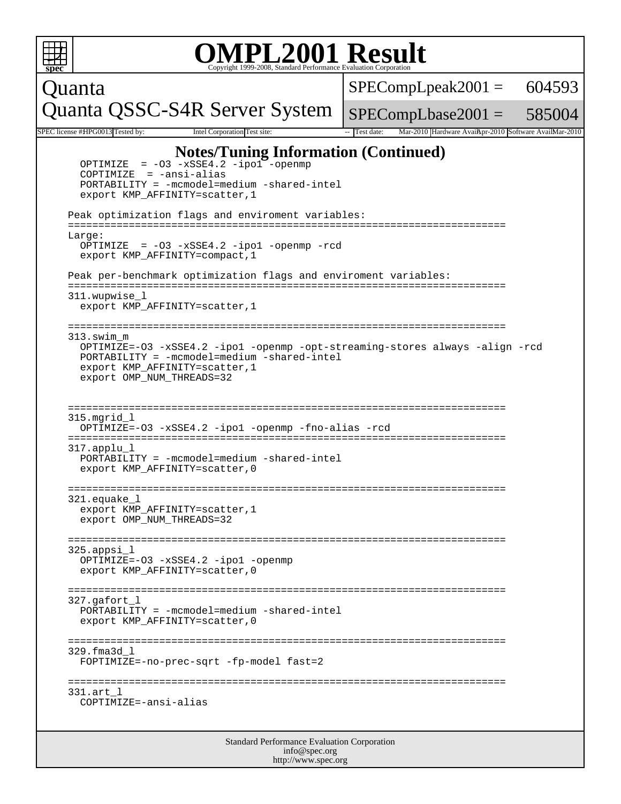|        | <b>OMPL2001 Result</b><br>Copyright 1999-2008, Standard Performance Evaluation Corporation                                                                                                                                                                                                                                                                                                                                                                                                                                                                                                                                                                                       |                                                                      |        |  |  |  |
|--------|----------------------------------------------------------------------------------------------------------------------------------------------------------------------------------------------------------------------------------------------------------------------------------------------------------------------------------------------------------------------------------------------------------------------------------------------------------------------------------------------------------------------------------------------------------------------------------------------------------------------------------------------------------------------------------|----------------------------------------------------------------------|--------|--|--|--|
| Quanta |                                                                                                                                                                                                                                                                                                                                                                                                                                                                                                                                                                                                                                                                                  | $SPECompLpeak2001 =$                                                 | 604593 |  |  |  |
|        | Quanta QSSC-S4R Server System                                                                                                                                                                                                                                                                                                                                                                                                                                                                                                                                                                                                                                                    | $SPECompLbase2001 = 585004$                                          |        |  |  |  |
|        | SPEC license #HPG0013 Tested by:<br>Intel Corporation Test site:                                                                                                                                                                                                                                                                                                                                                                                                                                                                                                                                                                                                                 | Mar-2010 Hardware AvailApr-2010 Software AvailMar-2010<br>Test date: |        |  |  |  |
|        | <b>Notes/Tuning Information (Continued)</b><br>$= -03 -xSSE4.2 -ipol$ -openmp<br>OPTIMIZE<br>$COPTIMIZE = -ansi-alias$<br>$PORTABILITY = -mcmodel=medium -shared-intel$<br>export KMP_AFFINITY=scatter, 1<br>Peak optimization flags and enviroment variables:<br>Large:<br>OPTIMIZE = $-03 - xSSE4.2 - ipo1 - openmp - red$<br>export KMP_AFFINITY=compact, 1<br>Peak per-benchmark optimization flags and enviroment variables:<br>=========<br>311.wupwise l<br>export KMP_AFFINITY=scatter, 1<br>313.swim m<br>OPTIMIZE=-03 -xSSE4.2 -ipol -openmp -opt-streaming-stores always -align -rcd<br>PORTABILITY = -mcmodel=medium -shared-intel<br>export KMP_AFFINITY=scatter, 1 |                                                                      |        |  |  |  |
|        | export OMP_NUM_THREADS=32<br>========================<br>====================================<br>315.mgrid l<br>OPTIMIZE=-03 -xSSE4.2 -ipo1 -openmp -fno-alias -rcd<br>317.applu l<br>PORTABILITY = -mcmodel=medium -shared-intel<br>export KMP_AFFINITY=scatter, 0<br>321.equake 1                                                                                                                                                                                                                                                                                                                                                                                              |                                                                      |        |  |  |  |
|        | export KMP_AFFINITY=scatter, 1<br>export OMP_NUM_THREADS=32<br>325.appsi l<br>OPTIMIZE=-03 -xSSE4.2 -ipo1 -openmp<br>export KMP_AFFINITY=scatter, 0                                                                                                                                                                                                                                                                                                                                                                                                                                                                                                                              |                                                                      |        |  |  |  |
|        | ----------------------------------<br>$327.\sigma$ afort l<br>PORTABILITY = -mcmodel=medium -shared-intel<br>export KMP AFFINITY=scatter, 0                                                                                                                                                                                                                                                                                                                                                                                                                                                                                                                                      |                                                                      |        |  |  |  |
|        | 329.fma3d l<br>FOPTIMIZE=-no-prec-sqrt -fp-model fast=2                                                                                                                                                                                                                                                                                                                                                                                                                                                                                                                                                                                                                          |                                                                      |        |  |  |  |
|        | 331.art l<br>COPTIMIZE=-ansi-alias                                                                                                                                                                                                                                                                                                                                                                                                                                                                                                                                                                                                                                               |                                                                      |        |  |  |  |
|        | Standard Performance Evaluation Corporation                                                                                                                                                                                                                                                                                                                                                                                                                                                                                                                                                                                                                                      |                                                                      |        |  |  |  |

| info@spec.org       |  |
|---------------------|--|
| http://www.spec.org |  |